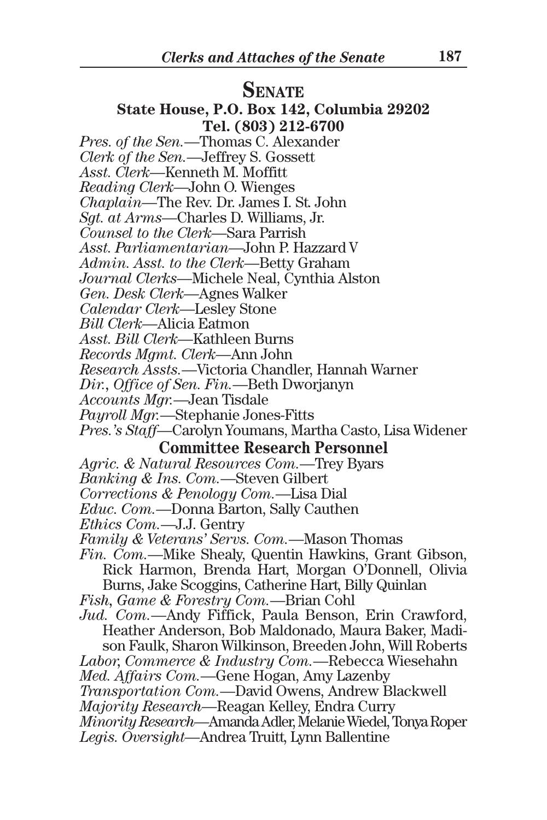# **SENATE**

#### **State House, P.O. Box 142, Columbia 29202 Tel. (803) 212-6700**

- *Pres. of the Sen.*—Thomas C. Alexander
- *Clerk of the Sen.*—Jeffrey S. Gossett
- *Asst. Clerk*—Kenneth M. Moffitt
- *Reading Clerk*—John O. Wienges
- *Chaplain*—The Rev. Dr. James I. St. John
- *Sgt. at Arms*—Charles D. Williams, Jr.
- *Counsel to the Clerk*—Sara Parrish
- *Asst. Parliamentarian*—John P. Hazzard V
- *Admin. Asst. to the Clerk*—Betty Graham
- *Journal Clerks*—Michele Neal, Cynthia Alston
- *Gen. Desk Clerk*—Agnes Walker
- *Calendar Clerk*—Lesley Stone
- *Bill Clerk*—Alicia Eatmon
- *Asst. Bill Clerk*—Kathleen Burns
- *Records Mgmt. Clerk*—Ann John
- *Research Assts.*—Victoria Chandler, Hannah Warner
- *Dir., Office of Sen. Fin.*—Beth Dworjanyn
- *Accounts Mgr.*—Jean Tisdale
- *Payroll Mgr.*—Stephanie Jones-Fitts
- *Pres.'s Staff*—Carolyn Youmans, Martha Casto, Lisa Widener **Committee Research Personnel**
- *Agric. & Natural Resources Com.*—Trey Byars
- *Banking & Ins. Com.*—Steven Gilbert
- *Corrections & Penology Com.*—Lisa Dial
- *Educ. Com.*—Donna Barton, Sally Cauthen
- *Ethics Com.*—J.J. Gentry
- *Family & Veterans' Servs. Com.*—Mason Thomas
- *Fin. Com.*—Mike Shealy, Quentin Hawkins, Grant Gibson, Rick Harmon, Brenda Hart, Morgan O'Donnell, Olivia Burns, Jake Scoggins, Catherine Hart, Billy Quinlan
- *Fish, Game & Forestry Com.*—Brian Cohl
- *Jud. Com.*—Andy Fiffick, Paula Benson, Erin Crawford, Heather Anderson, Bob Maldonado, Maura Baker, Madison Faulk, Sharon Wilkinson, Breeden John, Will Roberts
- *Labor, Commerce & Industry Com.*—Rebecca Wiesehahn
- *Med. Affairs Com.*—Gene Hogan, Amy Lazenby
- *Transportation Com.*—David Owens, Andrew Blackwell
- *Majority Research*—Reagan Kelley, Endra Curry
- *Minority Research*—Amanda Adler, Melanie Wiedel, Tonya Roper *Legis. Oversight*—Andrea Truitt, Lynn Ballentine